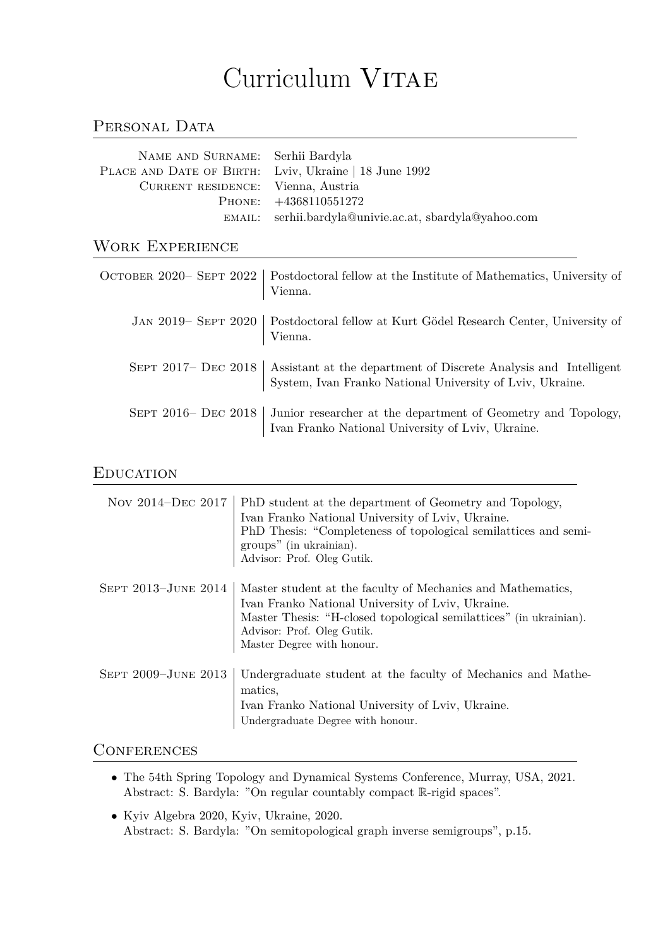# Curriculum VITAE

# PERSONAL DATA

| NAME AND SURNAME: Serhii Bardyla                      |                                                        |
|-------------------------------------------------------|--------------------------------------------------------|
| PLACE AND DATE OF BIRTH: Lviv, Ukraine   18 June 1992 |                                                        |
| CURRENT RESIDENCE: Vienna, Austria                    |                                                        |
|                                                       | PHONE: $+4368110551272$                                |
|                                                       | EMAIL: serhii.bardyla@univie.ac.at, sbardyla@yahoo.com |

# Work Experience

| OCTOBER 2020– SEPT 2022   Postdoctoral fellow at the Institute of Mathematics, University of<br>Vienna.                                             |
|-----------------------------------------------------------------------------------------------------------------------------------------------------|
| JAN 2019– SEPT 2020   Postdoctoral fellow at Kurt Gödel Research Center, University of<br>Vienna.                                                   |
| SEPT 2017- DEC 2018   Assistant at the department of Discrete Analysis and Intelligent<br>System, Ivan Franko National University of Lviv, Ukraine. |
| SEPT 2016– DEC 2018   Junior researcher at the department of Geometry and Topology,<br>Ivan Franko National University of Lviv, Ukraine.            |

### **EDUCATION**

| Nov 2014-DEC 2017   | PhD student at the department of Geometry and Topology,<br>Ivan Franko National University of Lviv, Ukraine.<br>PhD Thesis: "Completeness of topological semilattices and semi-<br>groups" (in ukrainian).<br>Advisor: Prof. Oleg Gutik.           |
|---------------------|----------------------------------------------------------------------------------------------------------------------------------------------------------------------------------------------------------------------------------------------------|
| SEPT 2013-JUNE 2014 | Master student at the faculty of Mechanics and Mathematics,<br>Ivan Franko National University of Lviv, Ukraine.<br>Master Thesis: "H-closed topological semilattices" (in ukrainian).<br>Advisor: Prof. Oleg Gutik.<br>Master Degree with honour. |
| SEPT 2009-JUNE 2013 | Undergraduate student at the faculty of Mechanics and Mathe-<br>matics,<br>Ivan Franko National University of Lviv, Ukraine.<br>Undergraduate Degree with honour.                                                                                  |

## **CONFERENCES**

- *•* The 54th Spring Topology and Dynamical Systems Conference, Murray, USA, 2021. Abstract: S. Bardyla: "On regular countably compact R-rigid spaces".
- *•* Kyiv Algebra 2020, Kyiv, Ukraine, 2020. Abstract: S. Bardyla: "On semitopological graph inverse semigroups", p.15.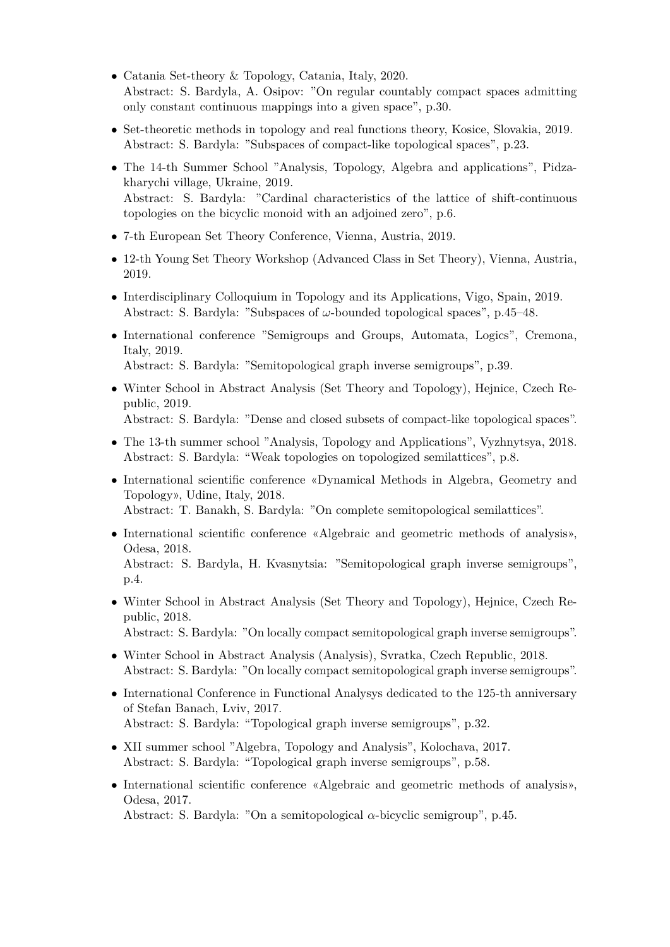- *•* Catania Set-theory & Topology, Catania, Italy, 2020. Abstract: S. Bardyla, A. Osipov: "On regular countably compact spaces admitting only constant continuous mappings into a given space", p.30.
- Set-theoretic methods in topology and real functions theory, Kosice, Slovakia, 2019. Abstract: S. Bardyla: "Subspaces of compact-like topological spaces", p.23.
- *•* The 14-th Summer School "Analysis, Topology, Algebra and applications", Pidzakharychi village, Ukraine, 2019. Abstract: S. Bardyla: "Cardinal characteristics of the lattice of shift-continuous topologies on the bicyclic monoid with an adjoined zero", p.6.
- *•* 7-th European Set Theory Conference, Vienna, Austria, 2019.
- *•* 12-th Young Set Theory Workshop (Advanced Class in Set Theory), Vienna, Austria, 2019.
- Interdisciplinary Colloquium in Topology and its Applications, Vigo, Spain, 2019. Abstract: S. Bardyla: "Subspaces of *ω*-bounded topological spaces", p.45–48.
- International conference "Semigroups and Groups, Automata, Logics", Cremona, Italy, 2019. Abstract: S. Bardyla: "Semitopological graph inverse semigroups", p.39.
- Winter School in Abstract Analysis (Set Theory and Topology), Hejnice, Czech Republic, 2019. Abstract: S. Bardyla: "Dense and closed subsets of compact-like topological spaces".
- The 13-th summer school "Analysis, Topology and Applications", Vyzhnytsya, 2018. Abstract: S. Bardyla: "Weak topologies on topologized semilattices", p.8.
- *•* International scientific conference «Dynamical Methods in Algebra, Geometry and Topology», Udine, Italy, 2018. Abstract: T. Banakh, S. Bardyla: "On complete semitopological semilattices".
- International scientific conference «Algebraic and geometric methods of analysis», Odesa, 2018. Abstract: S. Bardyla, H. Kvasnytsia: "Semitopological graph inverse semigroups",
- Winter School in Abstract Analysis (Set Theory and Topology), Hejnice, Czech Republic, 2018.

Abstract: S. Bardyla: "On locally compact semitopological graph inverse semigroups".

- Winter School in Abstract Analysis (Analysis), Svratka, Czech Republic, 2018. Abstract: S. Bardyla: "On locally compact semitopological graph inverse semigroups".
- International Conference in Functional Analysys dedicated to the 125-th anniversary of Stefan Banach, Lviv, 2017. Abstract: S. Bardyla: "Topological graph inverse semigroups", p.32.
- *•* XII summer school "Algebra, Topology and Analysis", Kolochava, 2017. Abstract: S. Bardyla: "Topological graph inverse semigroups", p.58.

p.4.

• International scientific conference «Algebraic and geometric methods of analysis», Odesa, 2017. Abstract: S. Bardyla: "On a semitopological *α*-bicyclic semigroup", p.45.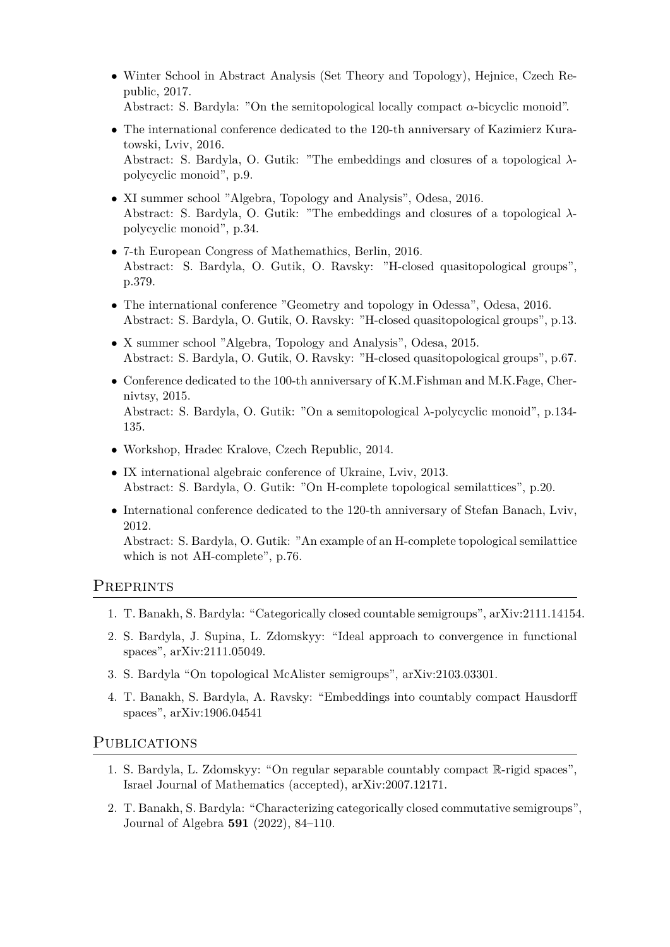- *•* Winter School in Abstract Analysis (Set Theory and Topology), Hejnice, Czech Republic, 2017. Abstract: S. Bardyla: "On the semitopological locally compact *α*-bicyclic monoid".
- The international conference dedicated to the 120-th anniversary of Kazimierz Kuratowski, Lviv, 2016. Abstract: S. Bardyla, O. Gutik: "The embeddings and closures of a topological *λ*polycyclic monoid", p.9.
- *•* XI summer school "Algebra, Topology and Analysis", Odesa, 2016. Abstract: S. Bardyla, O. Gutik: "The embeddings and closures of a topological *λ*polycyclic monoid", p.34.
- *•* 7-th European Congress of Mathemathics, Berlin, 2016. Abstract: S. Bardyla, O. Gutik, O. Ravsky: "H-closed quasitopological groups", p.379.
- The international conference "Geometry and topology in Odessa", Odesa, 2016. Abstract: S. Bardyla, O. Gutik, O. Ravsky: "H-closed quasitopological groups", p.13.
- *•* X summer school "Algebra, Topology and Analysis", Odesa, 2015. Abstract: S. Bardyla, O. Gutik, O. Ravsky: "H-closed quasitopological groups", p.67.
- Conference dedicated to the 100-th anniversary of K.M.Fishman and M.K.Fage, Chernivtsy, 2015. Abstract: S. Bardyla, O. Gutik: "On a semitopological *λ*-polycyclic monoid", p.134- 135.
- *•* Workshop, Hradec Kralove, Czech Republic, 2014.
- *•* IX international algebraic conference of Ukraine, Lviv, 2013. Abstract: S. Bardyla, O. Gutik: "On H-complete topological semilattices", p.20.
- International conference dedicated to the 120-th anniversary of Stefan Banach, Lviv, 2012.

Abstract: S. Bardyla, O. Gutik: "An example of an H-complete topological semilattice which is not AH-complete", p.76.

## **PREPRINTS**

- 1. T. Banakh, S. Bardyla: "Categorically closed countable semigroups", arXiv:2111.14154.
- 2. S. Bardyla, J. Supina, L. Zdomskyy: "Ideal approach to convergence in functional spaces", arXiv:2111.05049.
- 3. S. Bardyla "On topological McAlister semigroups", arXiv:2103.03301.
- 4. T. Banakh, S. Bardyla, A. Ravsky: "Embeddings into countably compact Hausdorff spaces", arXiv:1906.04541

#### PUBLICATIONS

- 1. S. Bardyla, L. Zdomskyy: "On regular separable countably compact R-rigid spaces", Israel Journal of Mathematics (accepted), arXiv:2007.12171.
- 2. T. Banakh, S. Bardyla: "Characterizing categorically closed commutative semigroups", Journal of Algebra **591** (2022), 84–110.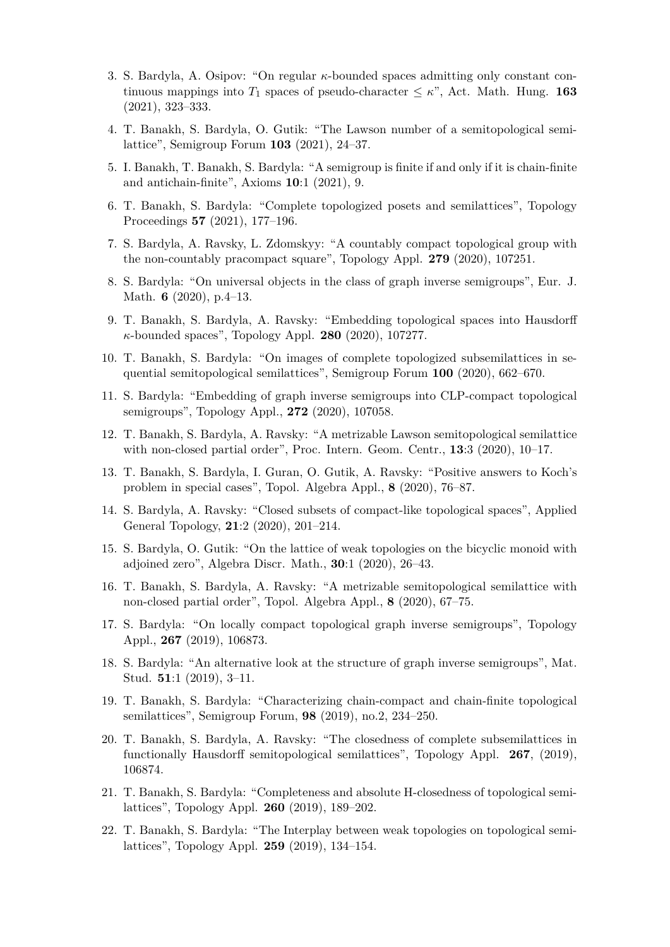- 3. S. Bardyla, A. Osipov: "On regular *κ*-bounded spaces admitting only constant continuous mappings into  $T_1$  spaces of pseudo-character  $\leq \kappa$ ", Act. Math. Hung. **163** (2021), 323–333.
- 4. T. Banakh, S. Bardyla, O. Gutik: "The Lawson number of a semitopological semilattice", Semigroup Forum **103** (2021), 24–37.
- 5. I. Banakh, T. Banakh, S. Bardyla: "A semigroup is finite if and only if it is chain-finite and antichain-finite", Axioms **10**:1 (2021), 9.
- 6. T. Banakh, S. Bardyla: "Complete topologized posets and semilattices", Topology Proceedings **57** (2021), 177–196.
- 7. S. Bardyla, A. Ravsky, L. Zdomskyy: "A countably compact topological group with the non-countably pracompact square", Topology Appl. **279** (2020), 107251.
- 8. S. Bardyla: "On universal objects in the class of graph inverse semigroups", Eur. J. Math. **6** (2020), p.4–13.
- 9. T. Banakh, S. Bardyla, A. Ravsky: "Embedding topological spaces into Hausdorff *κ*-bounded spaces", Topology Appl. **280** (2020), 107277.
- 10. T. Banakh, S. Bardyla: "On images of complete topologized subsemilattices in sequential semitopological semilattices", Semigroup Forum **100** (2020), 662–670.
- 11. S. Bardyla: "Embedding of graph inverse semigroups into CLP-compact topological semigroups", Topology Appl., **272** (2020), 107058.
- 12. T. Banakh, S. Bardyla, A. Ravsky: "A metrizable Lawson semitopological semilattice with non-closed partial order", Proc. Intern. Geom. Centr., **13**:3 (2020), 10–17.
- 13. T. Banakh, S. Bardyla, I. Guran, O. Gutik, A. Ravsky: "Positive answers to Koch's problem in special cases", Topol. Algebra Appl., **8** (2020), 76–87.
- 14. S. Bardyla, A. Ravsky: "Closed subsets of compact-like topological spaces", Applied General Topology, **21**:2 (2020), 201–214.
- 15. S. Bardyla, O. Gutik: "On the lattice of weak topologies on the bicyclic monoid with adjoined zero", Algebra Discr. Math., **30**:1 (2020), 26–43.
- 16. T. Banakh, S. Bardyla, A. Ravsky: "A metrizable semitopological semilattice with non-closed partial order", Topol. Algebra Appl., **8** (2020), 67–75.
- 17. S. Bardyla: "On locally compact topological graph inverse semigroups", Topology Appl., **267** (2019), 106873.
- 18. S. Bardyla: "An alternative look at the structure of graph inverse semigroups", Mat. Stud. **51**:1 (2019), 3–11.
- 19. T. Banakh, S. Bardyla: "Characterizing chain-compact and chain-finite topological semilattices", Semigroup Forum, **98** (2019), no.2, 234–250.
- 20. T. Banakh, S. Bardyla, A. Ravsky: "The closedness of complete subsemilattices in functionally Hausdorff semitopological semilattices", Topology Appl. **267**, (2019), 106874.
- 21. T. Banakh, S. Bardyla: "Completeness and absolute H-closedness of topological semilattices", Topology Appl. **260** (2019), 189–202.
- 22. T. Banakh, S. Bardyla: "The Interplay between weak topologies on topological semilattices", Topology Appl. **259** (2019), 134–154.